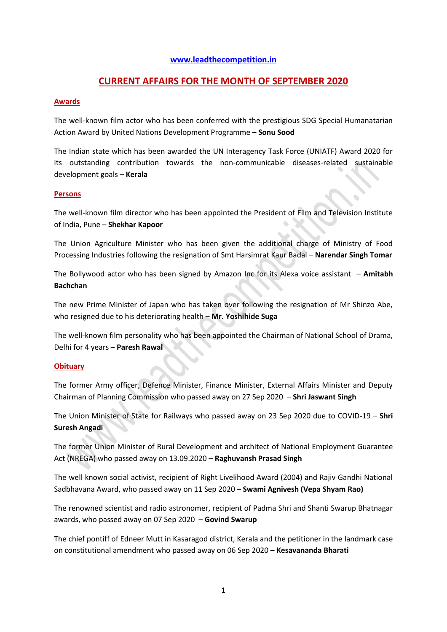### **[www.leadthecompetition.in](http://www.leadthecompetition.in/)**

## **CURRENT AFFAIRS FOR THE MONTH OF SEPTEMBER 2020**

### **Awards**

The well-known film actor who has been conferred with the prestigious SDG Special Humanatarian Action Award by United Nations Development Programme – **Sonu Sood**

The Indian state which has been awarded the UN Interagency Task Force (UNIATF) Award 2020 for its outstanding contribution towards the non-communicable diseases-related sustainable development goals – **Kerala**

#### **Persons**

The well-known film director who has been appointed the President of Film and Television Institute of India, Pune – **Shekhar Kapoor**

The Union Agriculture Minister who has been given the additional charge of Ministry of Food Processing Industries following the resignation of Smt Harsimrat Kaur Badal – **Narendar Singh Tomar**

The Bollywood actor who has been signed by Amazon Inc for its Alexa voice assistant – **Amitabh Bachchan**

The new Prime Minister of Japan who has taken over following the resignation of Mr Shinzo Abe, who resigned due to his deteriorating health – **Mr. Yoshihide Suga**

The well-known film personality who has been appointed the Chairman of National School of Drama, Delhi for 4 years – **Paresh Rawal**

### **Obituary**

The former Army officer, Defence Minister, Finance Minister, External Affairs Minister and Deputy Chairman of Planning Commission who passed away on 27 Sep 2020 – **Shri Jaswant Singh**

The Union Minister of State for Railways who passed away on 23 Sep 2020 due to COVID-19 – **Shri Suresh Angadi**

The former Union Minister of Rural Development and architect of National Employment Guarantee Act (NREGA) who passed away on 13.09.2020 – **Raghuvansh Prasad Singh**

The well known social activist, recipient of Right Livelihood Award (2004) and Rajiv Gandhi National Sadbhavana Award, who passed away on 11 Sep 2020 – **Swami Agnivesh (Vepa Shyam Rao)**

The renowned scientist and radio astronomer, recipient of Padma Shri and Shanti Swarup Bhatnagar awards, who passed away on 07 Sep 2020 – **Govind Swarup**

The chief pontiff of Edneer Mutt in Kasaragod district, Kerala and the petitioner in the landmark case on constitutional amendment who passed away on 06 Sep 2020 – **Kesavananda Bharati**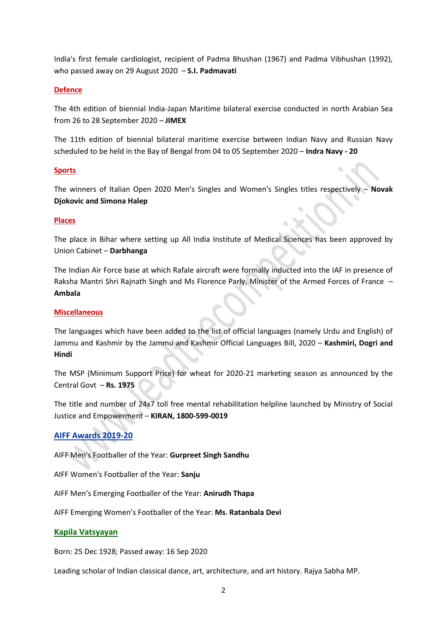India's first female cardiologist, recipient of Padma Bhushan (1967) and Padma Vibhushan (1992), who passed away on 29 August 2020 – **S.I. Padmavati**

### **Defence**

The 4th edition of biennial India-Japan Maritime bilateral exercise conducted in north Arabian Sea from 26 to 28 September 2020 – **JIMEX**

The 11th edition of biennial bilateral maritime exercise between Indian Navy and Russian Navy scheduled to be held in the Bay of Bengal from 04 to 05 September 2020 – **Indra Navy - 20**

### **Sports**

The winners of Italian Open 2020 Men's Singles and Women's Singles titles respectively – **Novak Djokovic and Simona Halep**

#### **Places**

The place in Bihar where setting up All India Institute of Medical Sciences has been approved by Union Cabinet – **Darbhanga**

The Indian Air Force base at which Rafale aircraft were formally inducted into the IAF in presence of Raksha Mantri Shri Rajnath Singh and Ms Florence Parly, Minister of the Armed Forces of France – **Ambala**

#### **Miscellaneous**

The languages which have been added to the list of official languages (namely Urdu and English) of Jammu and Kashmir by the Jammu and Kashmir Official Languages Bill, 2020 – **Kashmiri, Dogri and Hindi**

The MSP (Minimum Support Price) for wheat for 2020-21 marketing season as announced by the Central Govt – **Rs. 1975**

The title and number of 24x7 toll free mental rehabilitation helpline launched by Ministry of Social Justice and Empowerment – **KIRAN, 1800-599-0019**

### **AIFF Awards 2019-20**

AIFF Men's Footballer of the Year: **Gurpreet Singh Sandhu**

AIFF Women's Footballer of the Year: **Sanju**

AIFF Men's Emerging Footballer of the Year: **Anirudh Thapa**

AIFF Emerging Women's Footballer of the Year: **Ms**. **Ratanbala Devi**

### **Kapila Vatsyayan**

Born: 25 Dec 1928; Passed away: 16 Sep 2020

Leading scholar of Indian classical dance, art, architecture, and art history. Rajya Sabha MP.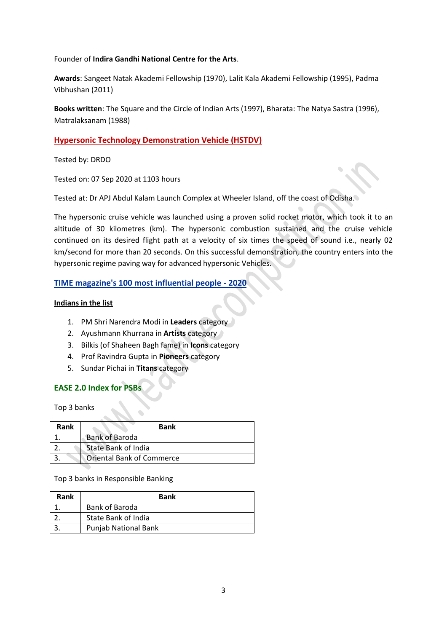Founder of **Indira Gandhi National Centre for the Arts**.

**Awards**: Sangeet Natak Akademi Fellowship (1970), Lalit Kala Akademi Fellowship (1995), Padma Vibhushan (2011)

**Books written**: The Square and the Circle of Indian Arts (1997), Bharata: The Natya Sastra (1996), Matralaksanam (1988)

## **Hypersonic Technology Demonstration Vehicle (HSTDV)**

Tested by: DRDO

Tested on: 07 Sep 2020 at 1103 hours

Tested at: Dr APJ Abdul Kalam Launch Complex at Wheeler Island, off the coast of Odisha.

The hypersonic cruise vehicle was launched using a proven solid rocket motor, which took it to an altitude of 30 kilometres (km). The hypersonic combustion sustained and the cruise vehicle continued on its desired flight path at a velocity of six times the speed of sound i.e., nearly 02 km/second for more than 20 seconds. On this successful demonstration, the country enters into the hypersonic regime paving way for advanced hypersonic Vehicles.

## **TIME magazine's 100 most influential people - 2020**

### **Indians in the list**

- 1. PM Shri Narendra Modi in **Leaders** category
- 2. Ayushmann Khurrana in **Artists** category
- 3. Bilkis (of Shaheen Bagh fame) in **Icons** category
- 4. Prof Ravindra Gupta in **Pioneers** category
- 5. Sundar Pichai in **Titans** category

## **EASE 2.0 Index for PSBs**

Top 3 banks

| Rank | <b>Bank</b>                      |
|------|----------------------------------|
|      | <b>Bank of Baroda</b>            |
|      | State Bank of India              |
|      | <b>Oriental Bank of Commerce</b> |

Top 3 banks in Responsible Banking

| Rank | <b>Bank</b>          |  |
|------|----------------------|--|
|      | Bank of Baroda       |  |
|      | State Bank of India  |  |
|      | Punjab National Bank |  |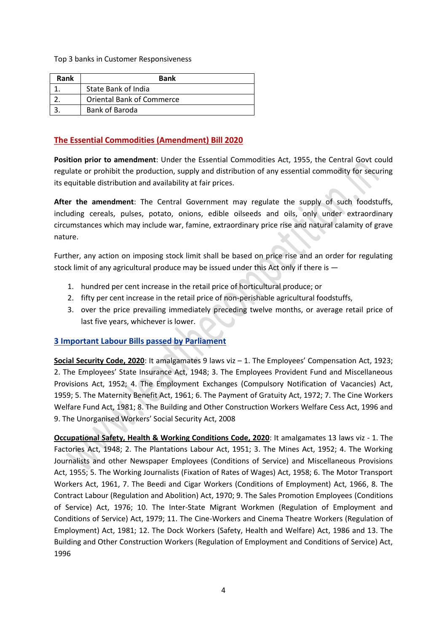Top 3 banks in Customer Responsiveness

| Rank | <b>Bank</b>                      |
|------|----------------------------------|
|      | State Bank of India              |
|      | <b>Oriental Bank of Commerce</b> |
|      | Bank of Baroda                   |

## **The Essential Commodities (Amendment) Bill 2020**

**Position prior to amendment**: Under the Essential Commodities Act, 1955, the Central Govt could regulate or prohibit the production, supply and distribution of any essential commodity for securing its equitable distribution and availability at fair prices.

**After the amendment**: The Central Government may regulate the supply of such foodstuffs, including cereals, pulses, potato, onions, edible oilseeds and oils, only under extraordinary circumstances which may include war, famine, extraordinary price rise and natural calamity of grave nature.

Further, any action on imposing stock limit shall be based on price rise and an order for regulating stock limit of any agricultural produce may be issued under this Act only if there is  $-$ 

- 1. hundred per cent increase in the retail price of horticultural produce; or
- 2. fifty per cent increase in the retail price of non-perishable agricultural foodstuffs,
- 3. over the price prevailing immediately preceding twelve months, or average retail price of last five years, whichever is lower.

## **3 Important Labour Bills passed by Parliament**

**Social Security Code, 2020**: It amalgamates 9 laws viz – 1. The Employees' Compensation Act, 1923; 2. The Employees' State Insurance Act, 1948; 3. The Employees Provident Fund and Miscellaneous Provisions Act, 1952; 4. The Employment Exchanges (Compulsory Notification of Vacancies) Act, 1959; 5. The Maternity Benefit Act, 1961; 6. The Payment of Gratuity Act, 1972; 7. The Cine Workers Welfare Fund Act, 1981; 8. The Building and Other Construction Workers Welfare Cess Act, 1996 and 9. The Unorganised Workers' Social Security Act, 2008

**Occupational Safety, Health & Working Conditions Code, 2020**: It amalgamates 13 laws viz - 1. The Factories Act, 1948; 2. The Plantations Labour Act, 1951; 3. The Mines Act, 1952; 4. The Working Journalists and other Newspaper Employees (Conditions of Service) and Miscellaneous Provisions Act, 1955; 5. The Working Journalists (Fixation of Rates of Wages) Act, 1958; 6. The Motor Transport Workers Act, 1961, 7. The Beedi and Cigar Workers (Conditions of Employment) Act, 1966, 8. The Contract Labour (Regulation and Abolition) Act, 1970; 9. The Sales Promotion Employees (Conditions of Service) Act, 1976; 10. The Inter-State Migrant Workmen (Regulation of Employment and Conditions of Service) Act, 1979; 11. The Cine-Workers and Cinema Theatre Workers (Regulation of Employment) Act, 1981; 12. The Dock Workers (Safety, Health and Welfare) Act, 1986 and 13. The Building and Other Construction Workers (Regulation of Employment and Conditions of Service) Act, 1996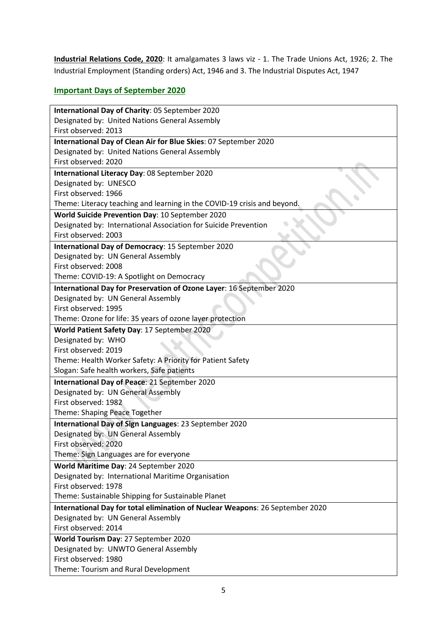**Industrial Relations Code, 2020**: It amalgamates 3 laws viz - 1. The Trade Unions Act, 1926; 2. The Industrial Employment (Standing orders) Act, 1946 and 3. The Industrial Disputes Act, 1947

# **Important Days of September 2020**

| International Day of Charity: 05 September 2020                               |
|-------------------------------------------------------------------------------|
| Designated by: United Nations General Assembly                                |
| First observed: 2013                                                          |
| International Day of Clean Air for Blue Skies: 07 September 2020              |
| Designated by: United Nations General Assembly                                |
| First observed: 2020                                                          |
| International Literacy Day: 08 September 2020                                 |
| Designated by: UNESCO                                                         |
| First observed: 1966                                                          |
| Theme: Literacy teaching and learning in the COVID-19 crisis and beyond.      |
| World Suicide Prevention Day: 10 September 2020                               |
| Designated by: International Association for Suicide Prevention               |
| First observed: 2003                                                          |
| International Day of Democracy: 15 September 2020                             |
| Designated by: UN General Assembly<br>First observed: 2008                    |
| Theme: COVID-19: A Spotlight on Democracy                                     |
| International Day for Preservation of Ozone Layer: 16 September 2020          |
| Designated by: UN General Assembly                                            |
| First observed: 1995                                                          |
| Theme: Ozone for life: 35 years of ozone layer protection                     |
| World Patient Safety Day: 17 September 2020                                   |
| Designated by: WHO                                                            |
| First observed: 2019                                                          |
| Theme: Health Worker Safety: A Priority for Patient Safety                    |
| Slogan: Safe health workers, Safe patients                                    |
| International Day of Peace: 21 September 2020                                 |
| Designated by: UN General Assembly                                            |
| First observed: 1982                                                          |
| Theme: Shaping Peace Together                                                 |
| International Day of Sign Languages: 23 September 2020                        |
| Designated by: UN General Assembly                                            |
| First observed: 2020                                                          |
| Theme: Sign Languages are for everyone                                        |
| World Maritime Day: 24 September 2020                                         |
| Designated by: International Maritime Organisation                            |
| First observed: 1978                                                          |
| Theme: Sustainable Shipping for Sustainable Planet                            |
| International Day for total elimination of Nuclear Weapons: 26 September 2020 |
| Designated by: UN General Assembly                                            |
| First observed: 2014                                                          |
| World Tourism Day: 27 September 2020                                          |
| Designated by: UNWTO General Assembly<br>First observed: 1980                 |
| Theme: Tourism and Rural Development                                          |
|                                                                               |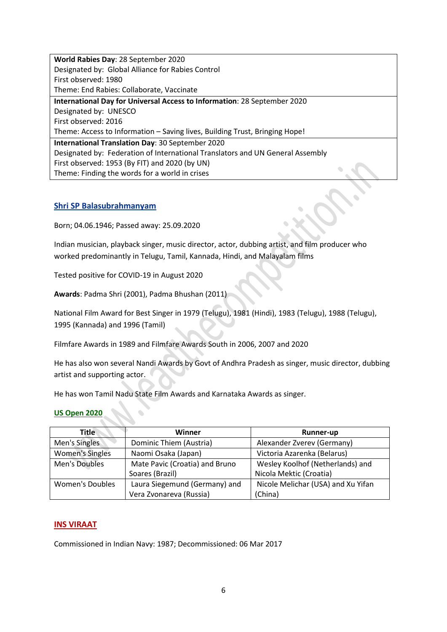**World Rabies Day**: 28 September 2020 Designated by: Global Alliance for Rabies Control First observed: 1980 Theme: End Rabies: Collaborate, Vaccinate

**International Day for Universal Access to Information**: 28 September 2020 Designated by: UNESCO First observed: 2016 Theme: Access to Information – Saving lives, Building Trust, Bringing Hope! **International Translation Day**: 30 September 2020 Designated by: Federation of International Translators and UN General Assembly First observed: 1953 (By FIT) and 2020 (by UN) Theme: Finding the words for a world in crises

## **Shri SP Balasubrahmanyam**

Born; 04.06.1946; Passed away: 25.09.2020

Indian musician, playback singer, music director, actor, dubbing artist, and film producer who worked predominantly in Telugu, Tamil, Kannada, Hindi, and Malayalam films

Tested positive for COVID-19 in August 2020

**Awards**: Padma Shri (2001), Padma Bhushan (2011)

National Film Award for Best Singer in 1979 (Telugu), 1981 (Hindi), 1983 (Telugu), 1988 (Telugu), 1995 (Kannada) and 1996 (Tamil)

Filmfare Awards in 1989 and Filmfare Awards South in 2006, 2007 and 2020

He has also won several Nandi Awards by Govt of Andhra Pradesh as singer, music director, dubbing artist and supporting actor.

He has won Tamil Nadu State Film Awards and Karnataka Awards as singer.

### **US Open 2020**

| <b>Title</b>           | Winner                         | <b>Runner-up</b>                   |
|------------------------|--------------------------------|------------------------------------|
| Men's Singles          | Dominic Thiem (Austria)        | Alexander Zverev (Germany)         |
| <b>Women's Singles</b> | Naomi Osaka (Japan)            | Victoria Azarenka (Belarus)        |
| Men's Doubles          | Mate Pavic (Croatia) and Bruno | Wesley Koolhof (Netherlands) and   |
|                        | Soares (Brazil)                | Nicola Mektic (Croatia)            |
| <b>Women's Doubles</b> | Laura Siegemund (Germany) and  | Nicole Melichar (USA) and Xu Yifan |
|                        | Vera Zvonareva (Russia)        | (China)                            |

### **INS VIRAAT**

Commissioned in Indian Navy: 1987; Decommissioned: 06 Mar 2017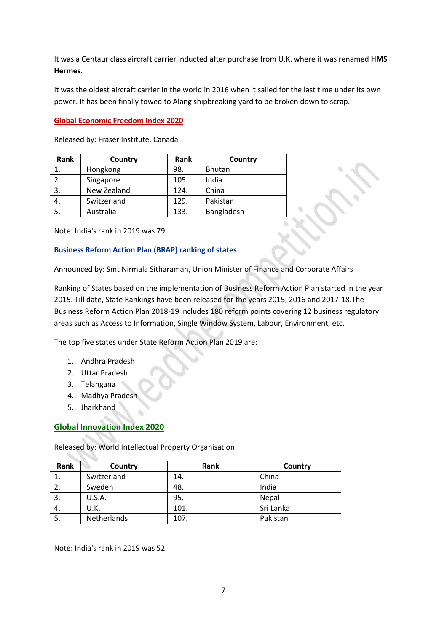It was a Centaur class aircraft carrier inducted after purchase from U.K. where it was renamed **HMS Hermes**.

It was the oldest aircraft carrier in the world in 2016 when it sailed for the last time under its own power. It has been finally towed to Alang shipbreaking yard to be broken down to scrap.

## **Global Economic Freedom Index 2020**

Released by: Fraser Institute, Canada

| Rank | Country     | Rank | Country       |
|------|-------------|------|---------------|
| 1.   | Hongkong    | 98.  | <b>Bhutan</b> |
| 2.   | Singapore   | 105. | India         |
| 3.   | New Zealand | 124. | China         |
| 4.   | Switzerland | 129. | Pakistan      |
| 5.   | Australia   | 133. | Bangladesh    |

Note: India's rank in 2019 was 79

## **Business Reform Action Plan (BRAP) ranking of states**

Announced by: Smt Nirmala Sitharaman, Union Minister of Finance and Corporate Affairs

Ranking of States based on the implementation of Business Reform Action Plan started in the year 2015. Till date, State Rankings have been released for the years 2015, 2016 and 2017-18.The Business Reform Action Plan 2018-19 includes 180 reform points covering 12 business regulatory areas such as Access to Information, Single Window System, Labour, Environment, etc.

The top five states under State Reform Action Plan 2019 are:

- 1. Andhra Pradesh
- 2. Uttar Pradesh
- 3. Telangana
- 4. Madhya Pradesh
- 5. Jharkhand

## **Global Innovation Index 2020**

Released by: World Intellectual Property Organisation

| Rank | Country     | Rank | Country   |
|------|-------------|------|-----------|
|      | Switzerland | 14.  | China     |
| 2.   | Sweden      | 48.  | India     |
| 3.   | U.S.A.      | 95.  | Nepal     |
| 4.   | U.K.        | 101. | Sri Lanka |
| 5.   | Netherlands | 107. | Pakistan  |

Note: India's rank in 2019 was 52